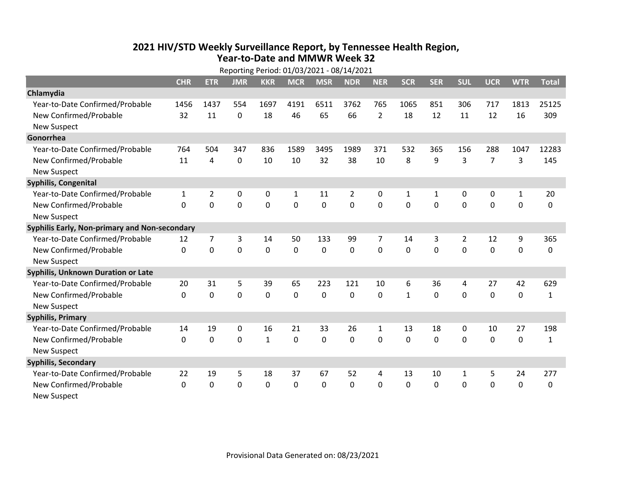## **2021 HIV /STD Weekly Surveillance Report, by Tennessee Health Region, Year‐to‐Date and MMWR Week 32**  $R = R \cdot 101/03/2021 00/14/2021$

| Reporting Period: 01/03/2021 - 08/14/2021     |              |                |            |             |              |              |                |                |              |              |              |                |              |              |
|-----------------------------------------------|--------------|----------------|------------|-------------|--------------|--------------|----------------|----------------|--------------|--------------|--------------|----------------|--------------|--------------|
|                                               | <b>CHR</b>   | <b>ETR</b>     | <b>JMR</b> | <b>KKR</b>  | <b>MCR</b>   | <b>MSR</b>   | <b>NDR</b>     | <b>NER</b>     | <b>SCR</b>   | <b>SER</b>   | <b>SUL</b>   | <b>UCR</b>     | <b>WTR</b>   | <b>Total</b> |
| Chlamydia                                     |              |                |            |             |              |              |                |                |              |              |              |                |              |              |
| Year-to-Date Confirmed/Probable               | 1456         | 1437           | 554        | 1697        | 4191         | 6511         | 3762           | 765            | 1065         | 851          | 306          | 717            | 1813         | 25125        |
| New Confirmed/Probable                        | 32           | 11             | 0          | 18          | 46           | 65           | 66             | $\overline{2}$ | 18           | 12           | 11           | 12             | 16           | 309          |
| <b>New Suspect</b>                            |              |                |            |             |              |              |                |                |              |              |              |                |              |              |
| Gonorrhea                                     |              |                |            |             |              |              |                |                |              |              |              |                |              |              |
| Year-to-Date Confirmed/Probable               | 764          | 504            | 347        | 836         | 1589         | 3495         | 1989           | 371            | 532          | 365          | 156          | 288            | 1047         | 12283        |
| New Confirmed/Probable                        | 11           | 4              | 0          | 10          | 10           | 32           | 38             | 10             | 8            | 9            | 3            | $\overline{7}$ | 3            | 145          |
| <b>New Suspect</b>                            |              |                |            |             |              |              |                |                |              |              |              |                |              |              |
| <b>Syphilis, Congenital</b>                   |              |                |            |             |              |              |                |                |              |              |              |                |              |              |
| Year-to-Date Confirmed/Probable               | $\mathbf{1}$ | $\overline{2}$ | 0          | 0           | $\mathbf{1}$ | 11           | $\overline{2}$ | $\mathbf{0}$   | 1            | $\mathbf{1}$ | 0            | 0              | $\mathbf{1}$ | 20           |
| New Confirmed/Probable                        | $\Omega$     | $\mathbf 0$    | 0          | 0           | 0            | 0            | 0              | $\Omega$       | $\Omega$     | $\mathbf{0}$ | 0            | 0              | $\mathbf 0$  | 0            |
| <b>New Suspect</b>                            |              |                |            |             |              |              |                |                |              |              |              |                |              |              |
| Syphilis Early, Non-primary and Non-secondary |              |                |            |             |              |              |                |                |              |              |              |                |              |              |
| Year-to-Date Confirmed/Probable               | 12           | 7              | 3          | 14          | 50           | 133          | 99             | 7              | 14           | 3            | 2            | 12             | 9            | 365          |
| New Confirmed/Probable                        | $\Omega$     | $\mathbf 0$    | 0          | 0           | $\mathbf 0$  | $\mathbf 0$  | 0              | $\Omega$       | $\Omega$     | $\mathbf{0}$ | $\Omega$     | $\mathbf 0$    | $\mathbf 0$  | 0            |
| <b>New Suspect</b>                            |              |                |            |             |              |              |                |                |              |              |              |                |              |              |
| <b>Syphilis, Unknown Duration or Late</b>     |              |                |            |             |              |              |                |                |              |              |              |                |              |              |
| Year-to-Date Confirmed/Probable               | 20           | 31             | 5          | 39          | 65           | 223          | 121            | 10             | 6            | 36           | 4            | 27             | 42           | 629          |
| New Confirmed/Probable                        | $\mathbf{0}$ | $\mathbf{0}$   | 0          | $\Omega$    | 0            | $\mathbf{0}$ | 0              | $\Omega$       | $\mathbf{1}$ | $\Omega$     | $\Omega$     | 0              | $\mathbf 0$  | $\mathbf{1}$ |
| <b>New Suspect</b>                            |              |                |            |             |              |              |                |                |              |              |              |                |              |              |
| <b>Syphilis, Primary</b>                      |              |                |            |             |              |              |                |                |              |              |              |                |              |              |
| Year-to-Date Confirmed/Probable               | 14           | 19             | 0          | 16          | 21           | 33           | 26             | $\mathbf{1}$   | 13           | 18           | 0            | 10             | 27           | 198          |
| New Confirmed/Probable                        | $\Omega$     | 0              | 0          | $\mathbf 1$ | 0            | 0            | 0              | $\Omega$       | $\Omega$     | $\mathbf 0$  | 0            | $\mathbf 0$    | $\mathbf 0$  | $\mathbf{1}$ |
| <b>New Suspect</b>                            |              |                |            |             |              |              |                |                |              |              |              |                |              |              |
| <b>Syphilis, Secondary</b>                    |              |                |            |             |              |              |                |                |              |              |              |                |              |              |
| Year-to-Date Confirmed/Probable               | 22           | 19             | 5          | 18          | 37           | 67           | 52             | 4              | 13           | 10           | $\mathbf{1}$ | 5              | 24           | 277          |
| New Confirmed/Probable                        | $\Omega$     | $\mathbf{0}$   | 0          | $\Omega$    | 0            | 0            | 0              | $\Omega$       | $\Omega$     | $\mathbf 0$  | 0            | 0              | $\mathbf 0$  | 0            |
| <b>New Suspect</b>                            |              |                |            |             |              |              |                |                |              |              |              |                |              |              |